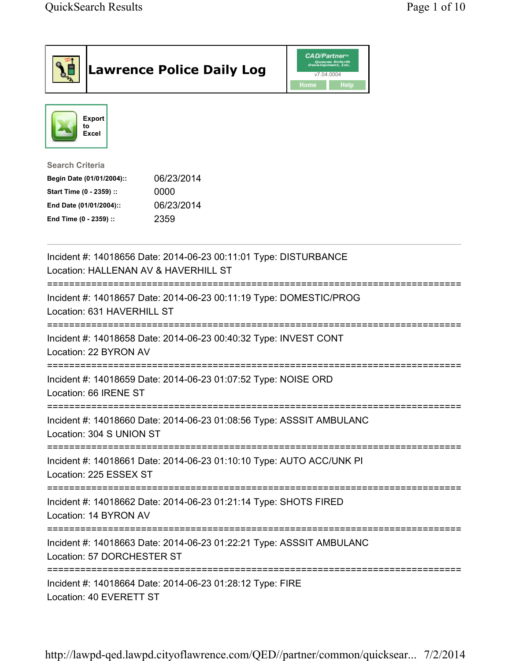| <b>Lawrence Police Daily Log</b>                                                                                                                                                 | <b>CAD/Partner</b> "<br>v7.04.0004<br>Home<br>Help |
|----------------------------------------------------------------------------------------------------------------------------------------------------------------------------------|----------------------------------------------------|
| <b>Export</b><br>to<br>Excel                                                                                                                                                     |                                                    |
| <b>Search Criteria</b><br>06/23/2014<br>Begin Date (01/01/2004)::<br>Start Time (0 - 2359) ::<br>0000<br>06/23/2014<br>End Date (01/01/2004)::<br>2359<br>End Time (0 - 2359) :: |                                                    |
| Incident #: 14018656 Date: 2014-06-23 00:11:01 Type: DISTURBANCE<br>Location: HALLENAN AV & HAVERHILL ST                                                                         |                                                    |
| Incident #: 14018657 Date: 2014-06-23 00:11:19 Type: DOMESTIC/PROG<br>Location: 631 HAVERHILL ST                                                                                 |                                                    |
| ===================================<br>Incident #: 14018658 Date: 2014-06-23 00:40:32 Type: INVEST CONT<br>Location: 22 BYRON AV                                                 |                                                    |
| Incident #: 14018659 Date: 2014-06-23 01:07:52 Type: NOISE ORD<br>Location: 66 IRENE ST                                                                                          |                                                    |
| Incident #: 14018660 Date: 2014-06-23 01:08:56 Type: ASSSIT AMBULANC<br>Location: 304 S UNION ST                                                                                 |                                                    |
| Incident #: 14018661 Date: 2014-06-23 01:10:10 Type: AUTO ACC/UNK PI<br>Location: 225 ESSEX ST                                                                                   |                                                    |
| Incident #: 14018662 Date: 2014-06-23 01:21:14 Type: SHOTS FIRED<br>Location: 14 BYRON AV                                                                                        |                                                    |
| Incident #: 14018663 Date: 2014-06-23 01:22:21 Type: ASSSIT AMBULANC<br>Location: 57 DORCHESTER ST                                                                               |                                                    |
| Incident #: 14018664 Date: 2014-06-23 01:28:12 Type: FIRE<br>Location: 40 EVERETT ST                                                                                             |                                                    |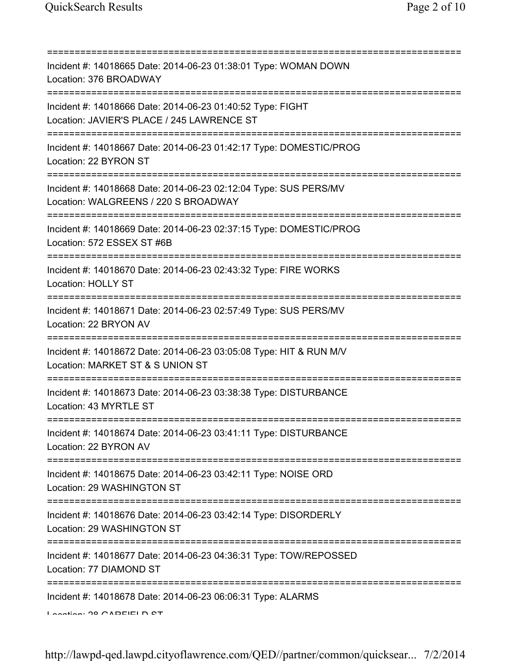| Incident #: 14018665 Date: 2014-06-23 01:38:01 Type: WOMAN DOWN<br>Location: 376 BROADWAY<br>============================                 |
|-------------------------------------------------------------------------------------------------------------------------------------------|
| Incident #: 14018666 Date: 2014-06-23 01:40:52 Type: FIGHT<br>Location: JAVIER'S PLACE / 245 LAWRENCE ST                                  |
| Incident #: 14018667 Date: 2014-06-23 01:42:17 Type: DOMESTIC/PROG<br>Location: 22 BYRON ST<br>=====================================      |
| Incident #: 14018668 Date: 2014-06-23 02:12:04 Type: SUS PERS/MV<br>Location: WALGREENS / 220 S BROADWAY                                  |
| =====================================<br>Incident #: 14018669 Date: 2014-06-23 02:37:15 Type: DOMESTIC/PROG<br>Location: 572 ESSEX ST #6B |
| Incident #: 14018670 Date: 2014-06-23 02:43:32 Type: FIRE WORKS<br><b>Location: HOLLY ST</b>                                              |
| Incident #: 14018671 Date: 2014-06-23 02:57:49 Type: SUS PERS/MV<br>Location: 22 BRYON AV                                                 |
| Incident #: 14018672 Date: 2014-06-23 03:05:08 Type: HIT & RUN M/V<br>Location: MARKET ST & S UNION ST                                    |
| Incident #: 14018673 Date: 2014-06-23 03:38:38 Type: DISTURBANCE<br>Location: 43 MYRTLE ST                                                |
| Incident #: 14018674 Date: 2014-06-23 03:41:11 Type: DISTURBANCE<br>Location: 22 BYRON AV                                                 |
| Incident #: 14018675 Date: 2014-06-23 03:42:11 Type: NOISE ORD<br>Location: 29 WASHINGTON ST                                              |
| Incident #: 14018676 Date: 2014-06-23 03:42:14 Type: DISORDERLY<br>Location: 29 WASHINGTON ST                                             |
| Incident #: 14018677 Date: 2014-06-23 04:36:31 Type: TOW/REPOSSED<br>Location: 77 DIAMOND ST                                              |
| Incident #: 14018678 Date: 2014-06-23 06:06:31 Type: ALARMS<br>Lootion: 00 CADEIELD CT                                                    |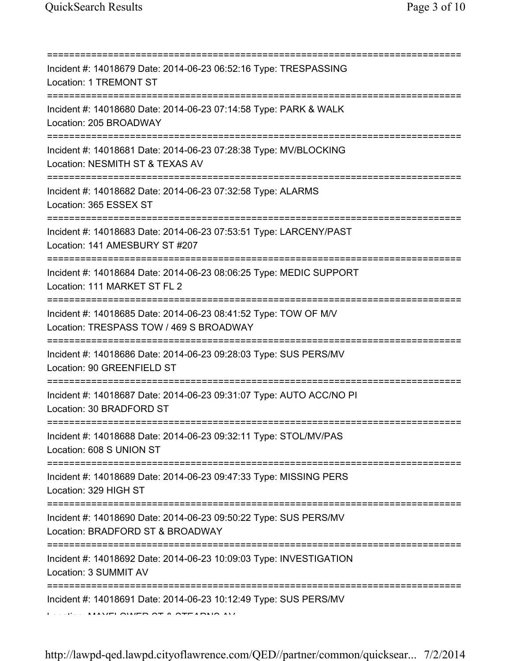| Incident #: 14018679 Date: 2014-06-23 06:52:16 Type: TRESPASSING<br>Location: 1 TREMONT ST<br>;==================================== |
|-------------------------------------------------------------------------------------------------------------------------------------|
| Incident #: 14018680 Date: 2014-06-23 07:14:58 Type: PARK & WALK<br>Location: 205 BROADWAY<br>--------------------------------      |
| Incident #: 14018681 Date: 2014-06-23 07:28:38 Type: MV/BLOCKING<br>Location: NESMITH ST & TEXAS AV                                 |
| Incident #: 14018682 Date: 2014-06-23 07:32:58 Type: ALARMS<br>Location: 365 ESSEX ST                                               |
| Incident #: 14018683 Date: 2014-06-23 07:53:51 Type: LARCENY/PAST<br>Location: 141 AMESBURY ST #207                                 |
| Incident #: 14018684 Date: 2014-06-23 08:06:25 Type: MEDIC SUPPORT<br>Location: 111 MARKET ST FL 2                                  |
| Incident #: 14018685 Date: 2014-06-23 08:41:52 Type: TOW OF M/V<br>Location: TRESPASS TOW / 469 S BROADWAY                          |
| ;========================<br>Incident #: 14018686 Date: 2014-06-23 09:28:03 Type: SUS PERS/MV<br>Location: 90 GREENFIELD ST         |
| Incident #: 14018687 Date: 2014-06-23 09:31:07 Type: AUTO ACC/NO PI<br>Location: 30 BRADFORD ST                                     |
| Incident #: 14018688 Date: 2014-06-23 09:32:11 Type: STOL/MV/PAS<br>Location: 608 S UNION ST                                        |
| ;====================================<br>Incident #: 14018689 Date: 2014-06-23 09:47:33 Type: MISSING PERS<br>Location: 329 HIGH ST |
| Incident #: 14018690 Date: 2014-06-23 09:50:22 Type: SUS PERS/MV<br>Location: BRADFORD ST & BROADWAY                                |
| Incident #: 14018692 Date: 2014-06-23 10:09:03 Type: INVESTIGATION<br>Location: 3 SUMMIT AV                                         |
| Incident #: 14018691 Date: 2014-06-23 10:12:49 Type: SUS PERS/MV                                                                    |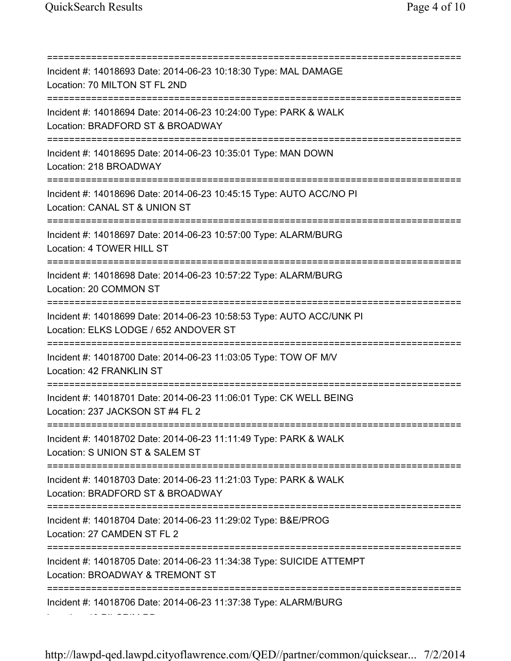Location: 19 PILGRIM RD

=========================================================================== Incident #: 14018693 Date: 2014-06-23 10:18:30 Type: MAL DAMAGE Location: 70 MILTON ST FL 2ND =========================================================================== Incident #: 14018694 Date: 2014-06-23 10:24:00 Type: PARK & WALK Location: BRADFORD ST & BROADWAY =========================================================================== Incident #: 14018695 Date: 2014-06-23 10:35:01 Type: MAN DOWN Location: 218 BROADWAY =========================================================================== Incident #: 14018696 Date: 2014-06-23 10:45:15 Type: AUTO ACC/NO PI Location: CANAL ST & UNION ST =========================================================================== Incident #: 14018697 Date: 2014-06-23 10:57:00 Type: ALARM/BURG Location: 4 TOWER HILL ST =========================================================================== Incident #: 14018698 Date: 2014-06-23 10:57:22 Type: ALARM/BURG Location: 20 COMMON ST =========================================================================== Incident #: 14018699 Date: 2014-06-23 10:58:53 Type: AUTO ACC/UNK PI Location: ELKS LODGE / 652 ANDOVER ST =========================================================================== Incident #: 14018700 Date: 2014-06-23 11:03:05 Type: TOW OF M/V Location: 42 FRANKLIN ST =========================================================================== Incident #: 14018701 Date: 2014-06-23 11:06:01 Type: CK WELL BEING Location: 237 JACKSON ST #4 FL 2 =========================================================================== Incident #: 14018702 Date: 2014-06-23 11:11:49 Type: PARK & WALK Location: S UNION ST & SALEM ST =========================================================================== Incident #: 14018703 Date: 2014-06-23 11:21:03 Type: PARK & WALK Location: BRADFORD ST & BROADWAY =========================================================================== Incident #: 14018704 Date: 2014-06-23 11:29:02 Type: B&E/PROG Location: 27 CAMDEN ST FL 2 =========================================================================== Incident #: 14018705 Date: 2014-06-23 11:34:38 Type: SUICIDE ATTEMPT Location: BROADWAY & TREMONT ST =========================================================================== Incident #: 14018706 Date: 2014-06-23 11:37:38 Type: ALARM/BURG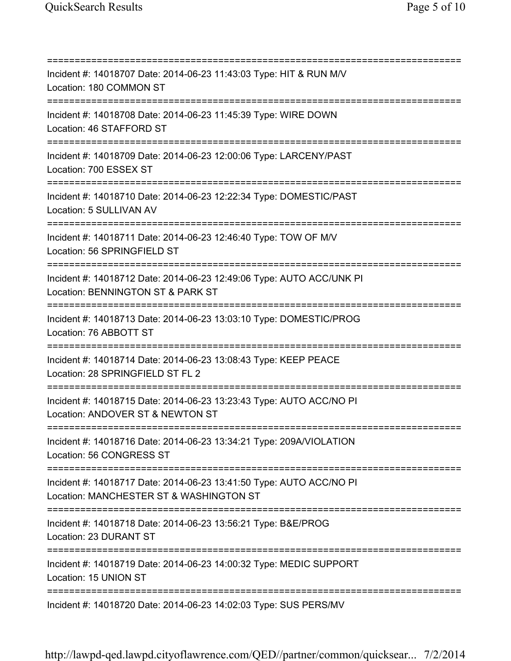=========================================================================== Incident #: 14018707 Date: 2014-06-23 11:43:03 Type: HIT & RUN M/V Location: 180 COMMON ST =========================================================================== Incident #: 14018708 Date: 2014-06-23 11:45:39 Type: WIRE DOWN Location: 46 STAFFORD ST =========================================================================== Incident #: 14018709 Date: 2014-06-23 12:00:06 Type: LARCENY/PAST Location: 700 ESSEX ST =========================================================================== Incident #: 14018710 Date: 2014-06-23 12:22:34 Type: DOMESTIC/PAST Location: 5 SULLIVAN AV =========================================================================== Incident #: 14018711 Date: 2014-06-23 12:46:40 Type: TOW OF M/V Location: 56 SPRINGFIELD ST =========================================================================== Incident #: 14018712 Date: 2014-06-23 12:49:06 Type: AUTO ACC/UNK PI Location: BENNINGTON ST & PARK ST =========================================================================== Incident #: 14018713 Date: 2014-06-23 13:03:10 Type: DOMESTIC/PROG Location: 76 ABBOTT ST =========================================================================== Incident #: 14018714 Date: 2014-06-23 13:08:43 Type: KEEP PEACE Location: 28 SPRINGFIELD ST FL 2 =========================================================================== Incident #: 14018715 Date: 2014-06-23 13:23:43 Type: AUTO ACC/NO PI Location: ANDOVER ST & NEWTON ST =========================================================================== Incident #: 14018716 Date: 2014-06-23 13:34:21 Type: 209A/VIOLATION Location: 56 CONGRESS ST =========================================================================== Incident #: 14018717 Date: 2014-06-23 13:41:50 Type: AUTO ACC/NO PI Location: MANCHESTER ST & WASHINGTON ST =========================================================================== Incident #: 14018718 Date: 2014-06-23 13:56:21 Type: B&E/PROG Location: 23 DURANT ST =========================================================================== Incident #: 14018719 Date: 2014-06-23 14:00:32 Type: MEDIC SUPPORT Location: 15 UNION ST =========================================================================== Incident #: 14018720 Date: 2014-06-23 14:02:03 Type: SUS PERS/MV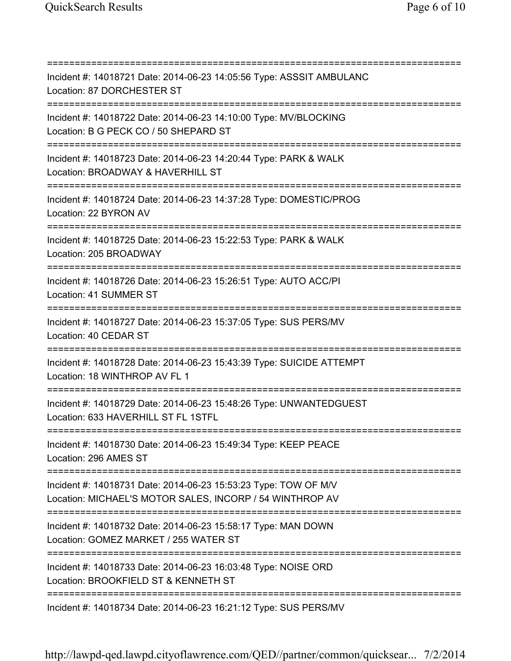=========================================================================== Incident #: 14018721 Date: 2014-06-23 14:05:56 Type: ASSSIT AMBULANC Location: 87 DORCHESTER ST =========================================================================== Incident #: 14018722 Date: 2014-06-23 14:10:00 Type: MV/BLOCKING Location: B G PECK CO / 50 SHEPARD ST =========================================================================== Incident #: 14018723 Date: 2014-06-23 14:20:44 Type: PARK & WALK Location: BROADWAY & HAVERHILL ST =========================================================================== Incident #: 14018724 Date: 2014-06-23 14:37:28 Type: DOMESTIC/PROG Location: 22 BYRON AV =========================================================================== Incident #: 14018725 Date: 2014-06-23 15:22:53 Type: PARK & WALK Location: 205 BROADWAY =========================================================================== Incident #: 14018726 Date: 2014-06-23 15:26:51 Type: AUTO ACC/PI Location: 41 SUMMER ST =========================================================================== Incident #: 14018727 Date: 2014-06-23 15:37:05 Type: SUS PERS/MV Location: 40 CEDAR ST =========================================================================== Incident #: 14018728 Date: 2014-06-23 15:43:39 Type: SUICIDE ATTEMPT Location: 18 WINTHROP AV FL 1 =========================================================================== Incident #: 14018729 Date: 2014-06-23 15:48:26 Type: UNWANTEDGUEST Location: 633 HAVERHILL ST FL 1STFL =========================================================================== Incident #: 14018730 Date: 2014-06-23 15:49:34 Type: KEEP PEACE Location: 296 AMES ST =========================================================================== Incident #: 14018731 Date: 2014-06-23 15:53:23 Type: TOW OF M/V Location: MICHAEL'S MOTOR SALES, INCORP / 54 WINTHROP AV =========================================================================== Incident #: 14018732 Date: 2014-06-23 15:58:17 Type: MAN DOWN Location: GOMEZ MARKET / 255 WATER ST =========================================================================== Incident #: 14018733 Date: 2014-06-23 16:03:48 Type: NOISE ORD Location: BROOKFIELD ST & KENNETH ST =========================================================================== Incident #: 14018734 Date: 2014-06-23 16:21:12 Type: SUS PERS/MV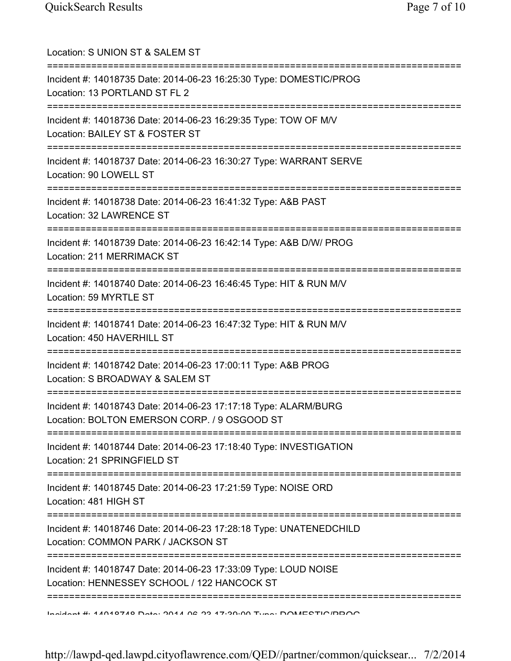| Location: S UNION ST & SALEM ST                                                                                                                             |
|-------------------------------------------------------------------------------------------------------------------------------------------------------------|
| ==========================<br>Incident #: 14018735 Date: 2014-06-23 16:25:30 Type: DOMESTIC/PROG<br>Location: 13 PORTLAND ST FL 2<br>====================== |
| Incident #: 14018736 Date: 2014-06-23 16:29:35 Type: TOW OF M/V<br>Location: BAILEY ST & FOSTER ST                                                          |
| Incident #: 14018737 Date: 2014-06-23 16:30:27 Type: WARRANT SERVE<br>Location: 90 LOWELL ST                                                                |
| Incident #: 14018738 Date: 2014-06-23 16:41:32 Type: A&B PAST<br>Location: 32 LAWRENCE ST                                                                   |
| ==================================<br>Incident #: 14018739 Date: 2014-06-23 16:42:14 Type: A&B D/W/ PROG<br>Location: 211 MERRIMACK ST                      |
| Incident #: 14018740 Date: 2014-06-23 16:46:45 Type: HIT & RUN M/V<br>Location: 59 MYRTLE ST                                                                |
| =================<br>Incident #: 14018741 Date: 2014-06-23 16:47:32 Type: HIT & RUN M/V<br>Location: 450 HAVERHILL ST                                       |
| Incident #: 14018742 Date: 2014-06-23 17:00:11 Type: A&B PROG<br>Location: S BROADWAY & SALEM ST                                                            |
| Incident #: 14018743 Date: 2014-06-23 17:17:18 Type: ALARM/BURG<br>Location: BOLTON EMERSON CORP. / 9 OSGOOD ST                                             |
| ___________________________________<br>Incident #: 14018744 Date: 2014-06-23 17:18:40 Type: INVESTIGATION<br>Location: 21 SPRINGFIELD ST                    |
| Incident #: 14018745 Date: 2014-06-23 17:21:59 Type: NOISE ORD<br>Location: 481 HIGH ST                                                                     |
| Incident #: 14018746 Date: 2014-06-23 17:28:18 Type: UNATENEDCHILD<br>Location: COMMON PARK / JACKSON ST                                                    |
| Incident #: 14018747 Date: 2014-06-23 17:33:09 Type: LOUD NOISE<br>Location: HENNESSEY SCHOOL / 122 HANCOCK ST                                              |
| <u>Indidant #: 11010710 Data: 2011 06:22:17:20:00 Tuna: DOMECTIO/DDOO</u>                                                                                   |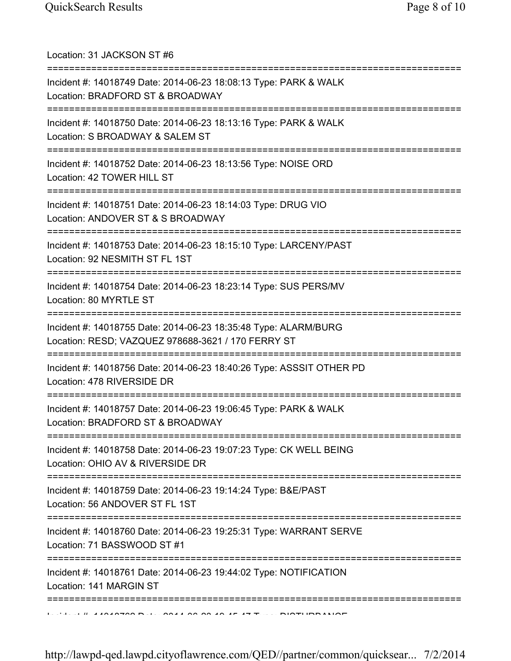| Location: 31 JACKSON ST #6                                                                                                      |
|---------------------------------------------------------------------------------------------------------------------------------|
| Incident #: 14018749 Date: 2014-06-23 18:08:13 Type: PARK & WALK<br>Location: BRADFORD ST & BROADWAY                            |
| Incident #: 14018750 Date: 2014-06-23 18:13:16 Type: PARK & WALK<br>Location: S BROADWAY & SALEM ST<br>:======================= |
| Incident #: 14018752 Date: 2014-06-23 18:13:56 Type: NOISE ORD<br>Location: 42 TOWER HILL ST                                    |
| Incident #: 14018751 Date: 2014-06-23 18:14:03 Type: DRUG VIO<br>Location: ANDOVER ST & S BROADWAY                              |
| Incident #: 14018753 Date: 2014-06-23 18:15:10 Type: LARCENY/PAST<br>Location: 92 NESMITH ST FL 1ST                             |
| Incident #: 14018754 Date: 2014-06-23 18:23:14 Type: SUS PERS/MV<br>Location: 80 MYRTLE ST<br>:====================             |
| Incident #: 14018755 Date: 2014-06-23 18:35:48 Type: ALARM/BURG<br>Location: RESD; VAZQUEZ 978688-3621 / 170 FERRY ST           |
| Incident #: 14018756 Date: 2014-06-23 18:40:26 Type: ASSSIT OTHER PD<br>Location: 478 RIVERSIDE DR                              |
| Incident #: 14018757 Date: 2014-06-23 19:06:45 Type: PARK & WALK<br>Location: BRADFORD ST & BROADWAY                            |
| Incident #: 14018758 Date: 2014-06-23 19:07:23 Type: CK WELL BEING<br>Location: OHIO AV & RIVERSIDE DR                          |
| Incident #: 14018759 Date: 2014-06-23 19:14:24 Type: B&E/PAST<br>Location: 56 ANDOVER ST FL 1ST                                 |
| Incident #: 14018760 Date: 2014-06-23 19:25:31 Type: WARRANT SERVE<br>Location: 71 BASSWOOD ST #1                               |
| ---------<br>Incident #: 14018761 Date: 2014-06-23 19:44:02 Type: NOTIFICATION<br>Location: 141 MARGIN ST                       |
|                                                                                                                                 |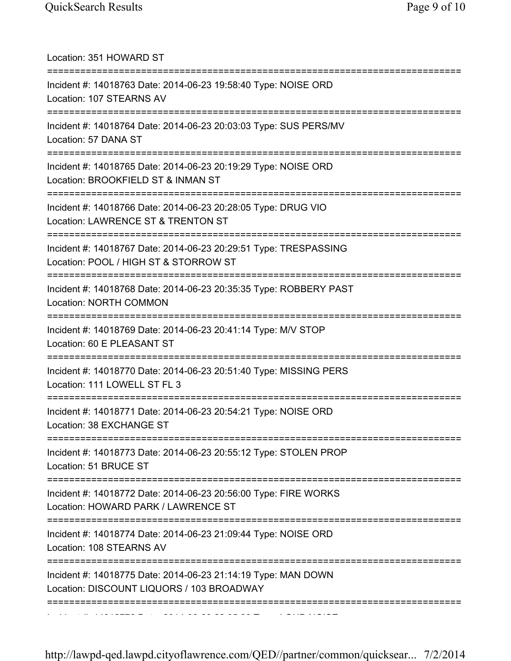| Location: 351 HOWARD ST                                                                                                                 |
|-----------------------------------------------------------------------------------------------------------------------------------------|
| Incident #: 14018763 Date: 2014-06-23 19:58:40 Type: NOISE ORD<br>Location: 107 STEARNS AV                                              |
| Incident #: 14018764 Date: 2014-06-23 20:03:03 Type: SUS PERS/MV<br>Location: 57 DANA ST                                                |
| Incident #: 14018765 Date: 2014-06-23 20:19:29 Type: NOISE ORD<br>Location: BROOKFIELD ST & INMAN ST                                    |
| Incident #: 14018766 Date: 2014-06-23 20:28:05 Type: DRUG VIO<br>Location: LAWRENCE ST & TRENTON ST<br>================================ |
| Incident #: 14018767 Date: 2014-06-23 20:29:51 Type: TRESPASSING<br>Location: POOL / HIGH ST & STORROW ST                               |
| Incident #: 14018768 Date: 2014-06-23 20:35:35 Type: ROBBERY PAST<br><b>Location: NORTH COMMON</b>                                      |
| Incident #: 14018769 Date: 2014-06-23 20:41:14 Type: M/V STOP<br>Location: 60 E PLEASANT ST                                             |
| Incident #: 14018770 Date: 2014-06-23 20:51:40 Type: MISSING PERS<br>Location: 111 LOWELL ST FL 3                                       |
| Incident #: 14018771 Date: 2014-06-23 20:54:21 Type: NOISE ORD<br>Location: 38 EXCHANGE ST                                              |
| Incident #: 14018773 Date: 2014-06-23 20:55:12 Type: STOLEN PROP<br>Location: 51 BRUCE ST                                               |
| Incident #: 14018772 Date: 2014-06-23 20:56:00 Type: FIRE WORKS<br>Location: HOWARD PARK / LAWRENCE ST                                  |
| Incident #: 14018774 Date: 2014-06-23 21:09:44 Type: NOISE ORD<br>Location: 108 STEARNS AV                                              |
| Incident #: 14018775 Date: 2014-06-23 21:14:19 Type: MAN DOWN<br>Location: DISCOUNT LIQUORS / 103 BROADWAY                              |
|                                                                                                                                         |